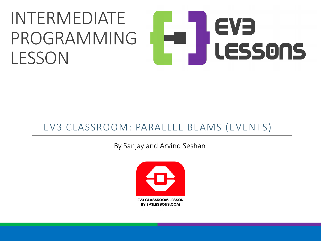#### INTERMEDIATE EVE PROGRAMMING LESSONS **LESSON**

#### EV3 CLASSROOM: PARALLEL BEAMS (EVENTS)

By Sanjay and Arvind Seshan

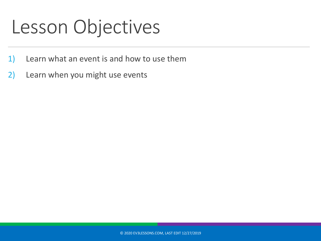## Lesson Objectives

- 1) Learn what an event is and how to use them
- 2) Learn when you might use events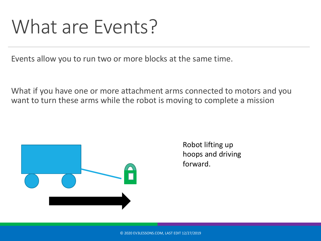### What are Events?

Events allow you to run two or more blocks at the same time.

What if you have one or more attachment arms connected to motors and you want to turn these arms while the robot is moving to complete a mission



Robot lifting up hoops and driving forward.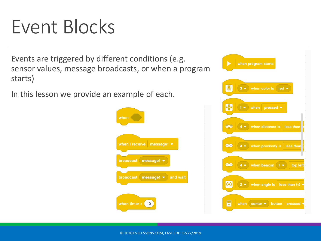## Event Blocks

Events are triggered by different conditions (e.g. sensor values, message broadcasts, or when a program starts)

In this lesson we provide an example of each.





© 2020 EV3LESSONS.COM, LAST EDIT 12/27/2019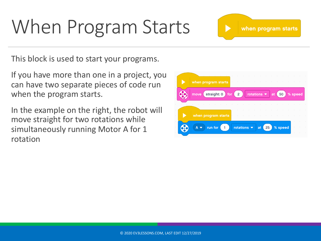# When Program Starts

when program starts

This block is used to start your programs.

If you have more than one in a project, you can have two separate pieces of code run when the program starts.

In the example on the right, the robot will move straight for two rotations while simultaneously running Motor A for 1 rotation

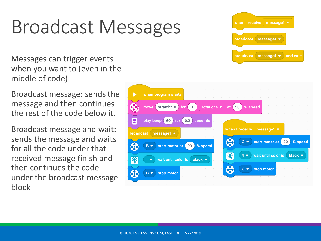# Broadcast Messages

Messages can trigger events when you want to (even in the middle of code)

Broadcast message: sends the message and then continues the rest of the code below it.

Broadcast message and wait: sends the message and waits for all the code under that received message finish and then continues the code under the broadcast message block



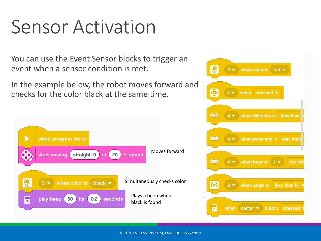## Sensor Activation

You can use the Event Sensor blocks to trigger an event when a sensor condition is met.

In the example below, the robot moves forward and checks for the color black at the same time.



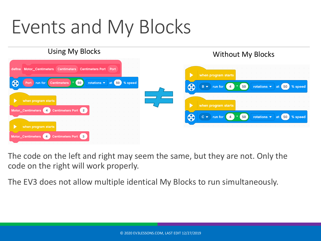# Events and My Blocks

#### Using My Blocks Without My Blocks define Motor Centimeters Centimeters Centimeters Port Port when program starts  $50<sup>2</sup>$ rotations  $\bullet$  at  $\left(50\right)$  % speed CEC Port run for **Centimeters 60**  $B \bullet$  run for  $\overline{4}$  $(50)$ rotations  $\bullet$  at  $\left(50\right)$  % speed when program starts when program starts Motor\_Centimeters 4 **Centimeters Port**  $\overline{2}$ \$  $C \bullet$  run for  $4<sup>1</sup>$  $(50)$ at 50 % speed rotations  $\blacktriangledown$ when program starts Centimeters Port Motor\_Centimeters (4)  $\mathbf{3}$

The code on the left and right may seem the same, but they are not. Only the code on the right will work properly.

The EV3 does not allow multiple identical My Blocks to run simultaneously.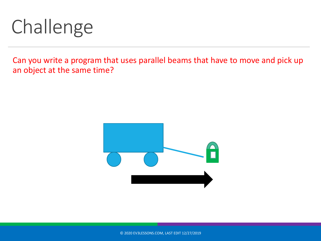# Challenge

Can you write a program that uses parallel beams that have to move and pick up an object at the same time?